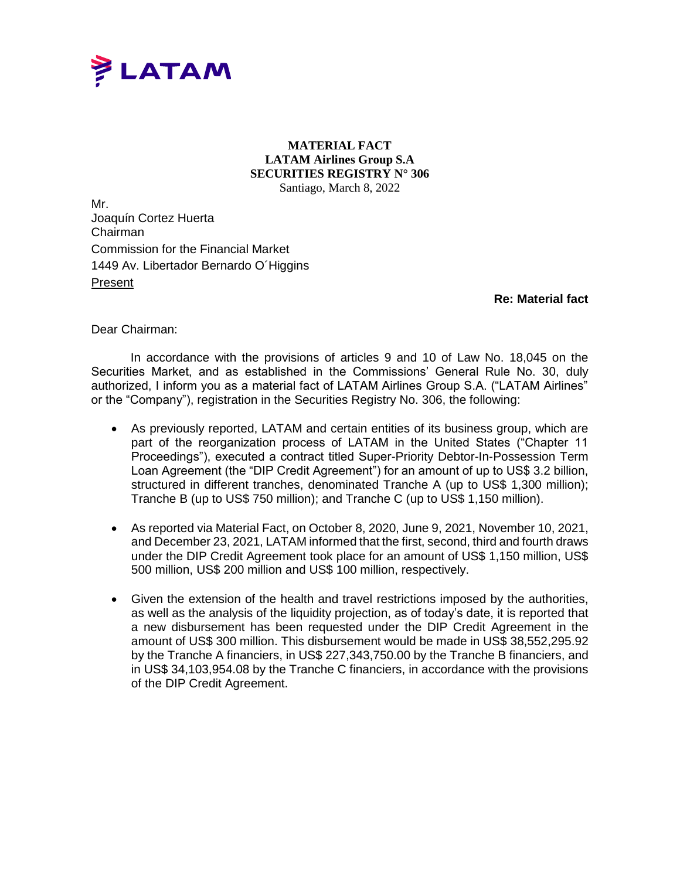

## **MATERIAL FACT LATAM Airlines Group S.A SECURITIES REGISTRY N° 306** Santiago, March 8, 2022

Mr. Joaquín Cortez Huerta Chairman Commission for the Financial Market 1449 Av. Libertador Bernardo O´Higgins Present

**Re: Material fact**

Dear Chairman:

In accordance with the provisions of articles 9 and 10 of Law No. 18,045 on the Securities Market, and as established in the Commissions' General Rule No. 30, duly authorized, I inform you as a material fact of LATAM Airlines Group S.A. ("LATAM Airlines" or the "Company"), registration in the Securities Registry No. 306, the following:

- As previously reported, LATAM and certain entities of its business group, which are part of the reorganization process of LATAM in the United States ("Chapter 11 Proceedings"), executed a contract titled Super-Priority Debtor-In-Possession Term Loan Agreement (the "DIP Credit Agreement") for an amount of up to US\$ 3.2 billion, structured in different tranches, denominated Tranche A (up to US\$ 1,300 million); Tranche B (up to US\$ 750 million); and Tranche C (up to US\$ 1,150 million).
- As reported via Material Fact, on October 8, 2020, June 9, 2021, November 10, 2021, and December 23, 2021, LATAM informed that the first, second, third and fourth draws under the DIP Credit Agreement took place for an amount of US\$ 1,150 million, US\$ 500 million, US\$ 200 million and US\$ 100 million, respectively.
- Given the extension of the health and travel restrictions imposed by the authorities, as well as the analysis of the liquidity projection, as of today's date, it is reported that a new disbursement has been requested under the DIP Credit Agreement in the amount of US\$ 300 million. This disbursement would be made in US\$ 38,552,295.92 by the Tranche A financiers, in US\$ 227,343,750.00 by the Tranche B financiers, and in US\$ 34,103,954.08 by the Tranche C financiers, in accordance with the provisions of the DIP Credit Agreement.